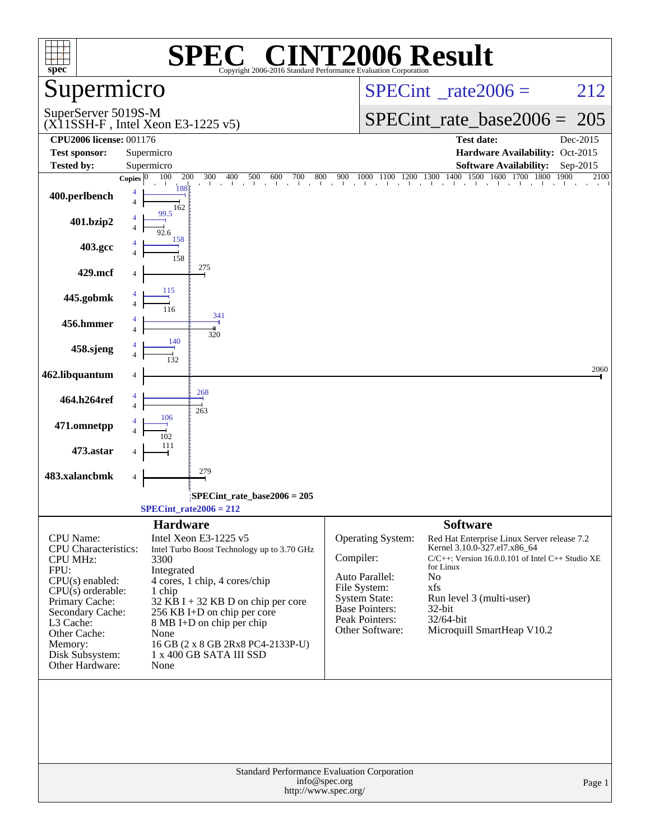| spec®                                                                                                                                                                                                                      | $\blacksquare$<br>SPE<br>Copyright 2006-2016 Standard Performance Evaluation Corporation                                                                                                                                                                                                                                                     | <b>INT2006 Result</b>                                                                                                                                                                                                                                                                                                                                                                                                 |
|----------------------------------------------------------------------------------------------------------------------------------------------------------------------------------------------------------------------------|----------------------------------------------------------------------------------------------------------------------------------------------------------------------------------------------------------------------------------------------------------------------------------------------------------------------------------------------|-----------------------------------------------------------------------------------------------------------------------------------------------------------------------------------------------------------------------------------------------------------------------------------------------------------------------------------------------------------------------------------------------------------------------|
| Supermicro                                                                                                                                                                                                                 |                                                                                                                                                                                                                                                                                                                                              | $SPECint^{\circ}$ rate $2006 =$<br>212                                                                                                                                                                                                                                                                                                                                                                                |
| SuperServer 5019S-M                                                                                                                                                                                                        | $(X11SSH-F$ , Intel Xeon E3-1225 v5)                                                                                                                                                                                                                                                                                                         | $SPECint_rate\_base2006 =$<br>205                                                                                                                                                                                                                                                                                                                                                                                     |
| <b>CPU2006 license: 001176</b>                                                                                                                                                                                             |                                                                                                                                                                                                                                                                                                                                              | <b>Test date:</b><br>Dec-2015                                                                                                                                                                                                                                                                                                                                                                                         |
| <b>Test sponsor:</b>                                                                                                                                                                                                       | Supermicro                                                                                                                                                                                                                                                                                                                                   | Hardware Availability: Oct-2015                                                                                                                                                                                                                                                                                                                                                                                       |
| Tested by:                                                                                                                                                                                                                 | Supermicro<br>100<br>200<br>Copies $\boxed{0}$                                                                                                                                                                                                                                                                                               | <b>Software Availability:</b><br>Sep-2015<br>2100                                                                                                                                                                                                                                                                                                                                                                     |
| 400.perlbench                                                                                                                                                                                                              | $\overline{4}$<br>162                                                                                                                                                                                                                                                                                                                        |                                                                                                                                                                                                                                                                                                                                                                                                                       |
| 401.bzip2                                                                                                                                                                                                                  | 99.5<br>92.6<br>158                                                                                                                                                                                                                                                                                                                          |                                                                                                                                                                                                                                                                                                                                                                                                                       |
| 403.gcc                                                                                                                                                                                                                    | 158                                                                                                                                                                                                                                                                                                                                          |                                                                                                                                                                                                                                                                                                                                                                                                                       |
| 429.mcf                                                                                                                                                                                                                    | 275                                                                                                                                                                                                                                                                                                                                          |                                                                                                                                                                                                                                                                                                                                                                                                                       |
| 445.gobmk                                                                                                                                                                                                                  | 115                                                                                                                                                                                                                                                                                                                                          |                                                                                                                                                                                                                                                                                                                                                                                                                       |
| 456.hmmer                                                                                                                                                                                                                  | 341<br>320                                                                                                                                                                                                                                                                                                                                   |                                                                                                                                                                                                                                                                                                                                                                                                                       |
| 458.sjeng                                                                                                                                                                                                                  | 140                                                                                                                                                                                                                                                                                                                                          |                                                                                                                                                                                                                                                                                                                                                                                                                       |
| 462.libquantum                                                                                                                                                                                                             |                                                                                                                                                                                                                                                                                                                                              | 2060                                                                                                                                                                                                                                                                                                                                                                                                                  |
| 464.h264ref                                                                                                                                                                                                                | 268<br>263<br>106                                                                                                                                                                                                                                                                                                                            |                                                                                                                                                                                                                                                                                                                                                                                                                       |
| 471.omnetpp                                                                                                                                                                                                                | 102                                                                                                                                                                                                                                                                                                                                          |                                                                                                                                                                                                                                                                                                                                                                                                                       |
| 473.astar                                                                                                                                                                                                                  | 111                                                                                                                                                                                                                                                                                                                                          |                                                                                                                                                                                                                                                                                                                                                                                                                       |
| 483.xalancbmk                                                                                                                                                                                                              | 279<br>4                                                                                                                                                                                                                                                                                                                                     |                                                                                                                                                                                                                                                                                                                                                                                                                       |
|                                                                                                                                                                                                                            | $SPECint_rate_base2006 = 205$<br>$SPECint_rate2006 = 212$                                                                                                                                                                                                                                                                                    |                                                                                                                                                                                                                                                                                                                                                                                                                       |
| CPU Name:<br>CPU Characteristics:<br><b>CPU MHz:</b><br>FPU:<br>CPU(s) enabled:<br>$CPU(s)$ orderable:<br>Primary Cache:<br>Secondary Cache:<br>L3 Cache:<br>Other Cache:<br>Memory:<br>Disk Subsystem:<br>Other Hardware: | <b>Hardware</b><br>Intel Xeon E3-1225 v5<br>Intel Turbo Boost Technology up to 3.70 GHz<br>3300<br>Integrated<br>4 cores, 1 chip, 4 cores/chip<br>1 chip<br>$32$ KB I + 32 KB D on chip per core<br>256 KB I+D on chip per core<br>8 MB I+D on chip per chip<br>None<br>16 GB (2 x 8 GB 2Rx8 PC4-2133P-U)<br>1 x 400 GB SATA III SSD<br>None | <b>Software</b><br>Operating System:<br>Red Hat Enterprise Linux Server release 7.2<br>Kernel 3.10.0-327.el7.x86_64<br>Compiler:<br>$C/C++$ : Version 16.0.0.101 of Intel $C++$ Studio XE<br>for Linux<br>Auto Parallel:<br>No<br>File System:<br>xfs<br><b>System State:</b><br>Run level 3 (multi-user)<br>Base Pointers:<br>32-bit<br>Peak Pointers:<br>32/64-bit<br>Other Software:<br>Microquill SmartHeap V10.2 |
|                                                                                                                                                                                                                            | Standard Performance Evaluation Corporation<br>info@spec.org<br>http://www.spec.org/                                                                                                                                                                                                                                                         | Page 1                                                                                                                                                                                                                                                                                                                                                                                                                |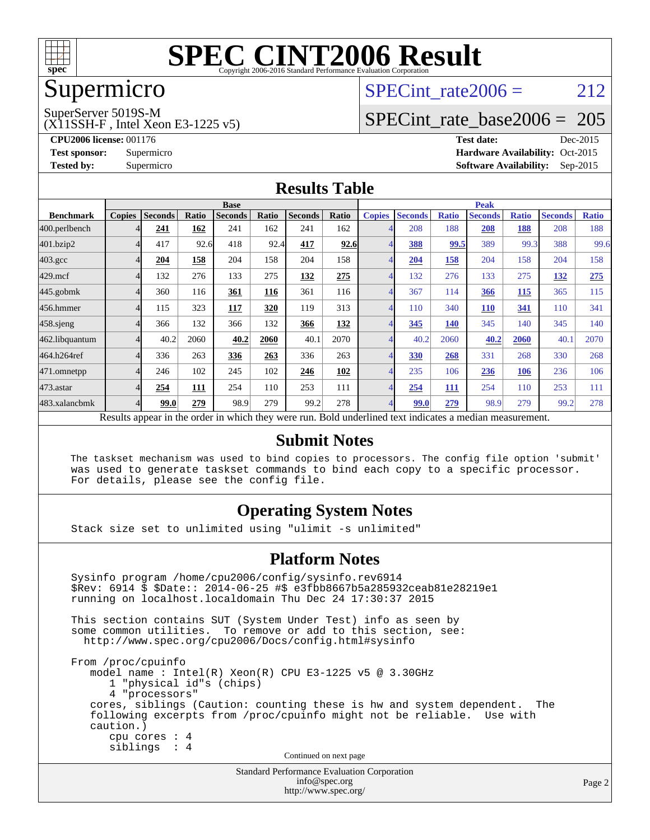

### Supermicro

### SPECint rate  $2006 = 212$

SuperServer 5019S-M

(X11SSH-F , Intel Xeon E3-1225 v5)

[SPECint\\_rate\\_base2006 =](http://www.spec.org/auto/cpu2006/Docs/result-fields.html#SPECintratebase2006) 205

**[CPU2006 license:](http://www.spec.org/auto/cpu2006/Docs/result-fields.html#CPU2006license)** 001176 **[Test date:](http://www.spec.org/auto/cpu2006/Docs/result-fields.html#Testdate)** Dec-2015 **[Test sponsor:](http://www.spec.org/auto/cpu2006/Docs/result-fields.html#Testsponsor)** Supermicro Supermicro **[Hardware Availability:](http://www.spec.org/auto/cpu2006/Docs/result-fields.html#HardwareAvailability)** Oct-2015 **[Tested by:](http://www.spec.org/auto/cpu2006/Docs/result-fields.html#Testedby)** Supermicro **Supermicro [Software Availability:](http://www.spec.org/auto/cpu2006/Docs/result-fields.html#SoftwareAvailability)** Sep-2015

#### **[Results Table](http://www.spec.org/auto/cpu2006/Docs/result-fields.html#ResultsTable)**

|                                                                                                          | <b>Base</b>   |                |       |                |       |                | <b>Peak</b> |               |                |              |                |              |                |              |
|----------------------------------------------------------------------------------------------------------|---------------|----------------|-------|----------------|-------|----------------|-------------|---------------|----------------|--------------|----------------|--------------|----------------|--------------|
| <b>Benchmark</b>                                                                                         | <b>Copies</b> | <b>Seconds</b> | Ratio | <b>Seconds</b> | Ratio | <b>Seconds</b> | Ratio       | <b>Copies</b> | <b>Seconds</b> | <b>Ratio</b> | <b>Seconds</b> | <b>Ratio</b> | <b>Seconds</b> | <b>Ratio</b> |
| 400.perlbench                                                                                            |               | 241            | 162   | 241            | 162   | 241            | 162         |               | 208            | 188          | 208            | 188          | 208            | 188          |
| 401.bzip2                                                                                                |               | 417            | 92.6  | 418            | 92.4  | 417            | 92.6        |               | <u>388</u>     | 99.5         | 389            | 99.3         | 388            | 99.6         |
| $403.\mathrm{gcc}$                                                                                       |               | 204            | 158   | 204            | 158   | 204            | 158         |               | 204            | 158          | 204            | 158          | 204            | 158          |
| $429$ .mcf                                                                                               |               | 132            | 276   | 133            | 275   | 132            | 275         |               | 132            | 276          | 133            | 275          | 132            | 275          |
| $445$ .gobm $k$                                                                                          |               | 360            | 116   | 361            | 116   | 361            | 116         |               | 367            | 114          | 366            | 115          | 365            | 115          |
| 456.hmmer                                                                                                |               | 115            | 323   | 117            | 320   | 119            | 313         |               | 110            | 340          | <b>110</b>     | 341          | 110            | 341          |
| 458.sjeng                                                                                                |               | 366            | 132   | 366            | 132   | 366            | 132         |               | 345            | <b>140</b>   | 345            | 140          | 345            | 140          |
| 462.libquantum                                                                                           |               | 40.2           | 2060  | 40.2           | 2060  | 40.1           | 2070        |               | 40.2           | 2060         | 40.2           | 2060         | 40.1           | 2070         |
| 464.h264ref                                                                                              |               | 336            | 263   | 336            | 263   | 336            | 263         |               | 330            | 268          | 331            | 268          | 330            | 268          |
| 471.omnetpp                                                                                              |               | 246            | 102   | 245            | 102   | 246            | 102         |               | 235            | 106          | 236            | <b>106</b>   | 236            | 106          |
| 473.astar                                                                                                |               | 254            | 111   | 254            | 110   | 253            | 111         |               | 254            | 111          | 254            | 110          | 253            | 111          |
| 483.xalancbmk                                                                                            |               | 99.0           | 279   | 98.9           | 279   | 99.2           | 278         |               | 99.0           | 279          | 98.9           | 279          | 99.2           | 278          |
| Results appear in the order in which they were run. Bold underlined text indicates a median measurement. |               |                |       |                |       |                |             |               |                |              |                |              |                |              |

#### **[Submit Notes](http://www.spec.org/auto/cpu2006/Docs/result-fields.html#SubmitNotes)**

 The taskset mechanism was used to bind copies to processors. The config file option 'submit' was used to generate taskset commands to bind each copy to a specific processor. For details, please see the config file.

#### **[Operating System Notes](http://www.spec.org/auto/cpu2006/Docs/result-fields.html#OperatingSystemNotes)**

Stack size set to unlimited using "ulimit -s unlimited"

#### **[Platform Notes](http://www.spec.org/auto/cpu2006/Docs/result-fields.html#PlatformNotes)**

Standard Performance Evaluation Corporation Sysinfo program /home/cpu2006/config/sysinfo.rev6914 \$Rev: 6914 \$ \$Date:: 2014-06-25 #\$ e3fbb8667b5a285932ceab81e28219e1 running on localhost.localdomain Thu Dec 24 17:30:37 2015 This section contains SUT (System Under Test) info as seen by some common utilities. To remove or add to this section, see: <http://www.spec.org/cpu2006/Docs/config.html#sysinfo> From /proc/cpuinfo model name : Intel(R) Xeon(R) CPU E3-1225 v5 @ 3.30GHz 1 "physical id"s (chips) 4 "processors" cores, siblings (Caution: counting these is hw and system dependent. The following excerpts from /proc/cpuinfo might not be reliable. Use with caution.) cpu cores : 4 siblings : 4 Continued on next page

[info@spec.org](mailto:info@spec.org) <http://www.spec.org/>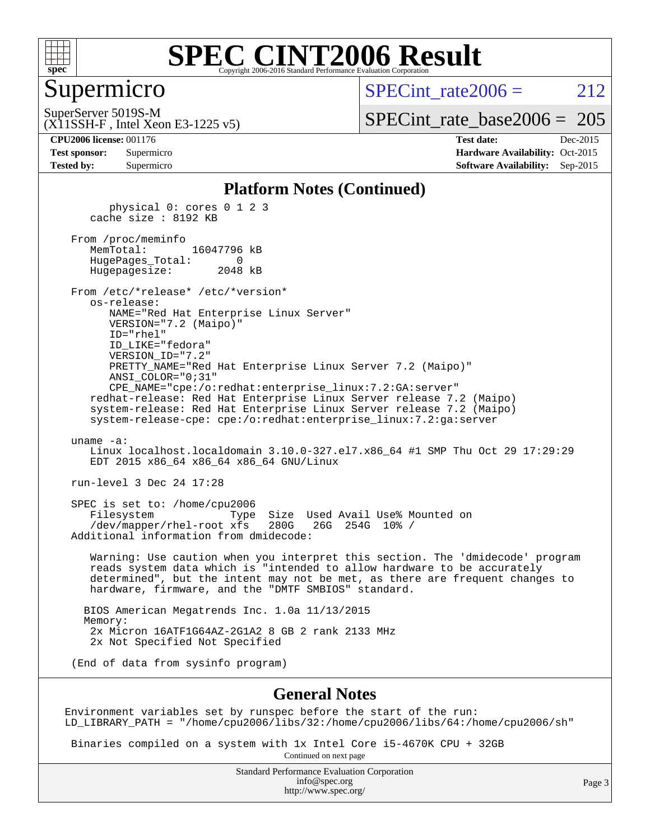

#### Supermicro

SPECint rate  $2006 = 212$ 

SuperServer 5019S-M

[SPECint\\_rate\\_base2006 =](http://www.spec.org/auto/cpu2006/Docs/result-fields.html#SPECintratebase2006) 205

(X11SSH-F , Intel Xeon E3-1225 v5)

**[CPU2006 license:](http://www.spec.org/auto/cpu2006/Docs/result-fields.html#CPU2006license)** 001176 **[Test date:](http://www.spec.org/auto/cpu2006/Docs/result-fields.html#Testdate)** Dec-2015 **[Test sponsor:](http://www.spec.org/auto/cpu2006/Docs/result-fields.html#Testsponsor)** Supermicro Supermicro **[Hardware Availability:](http://www.spec.org/auto/cpu2006/Docs/result-fields.html#HardwareAvailability)** Oct-2015 **[Tested by:](http://www.spec.org/auto/cpu2006/Docs/result-fields.html#Testedby)** Supermicro **[Software Availability:](http://www.spec.org/auto/cpu2006/Docs/result-fields.html#SoftwareAvailability)** Sep-2015

#### **[Platform Notes \(Continued\)](http://www.spec.org/auto/cpu2006/Docs/result-fields.html#PlatformNotes)**

 physical 0: cores 0 1 2 3 cache size : 8192 KB

From /proc/meminfo<br>MemTotal: 16047796 kB HugePages\_Total: 0 Hugepagesize: 2048 kB

 From /etc/\*release\* /etc/\*version\* os-release: NAME="Red Hat Enterprise Linux Server" VERSION="7.2 (Maipo)"

 ID="rhel" ID\_LIKE="fedora" VERSION\_ID="7.2" PRETTY\_NAME="Red Hat Enterprise Linux Server 7.2 (Maipo)" ANSI\_COLOR="0;31" CPE\_NAME="cpe:/o:redhat:enterprise\_linux:7.2:GA:server"

 redhat-release: Red Hat Enterprise Linux Server release 7.2 (Maipo) system-release: Red Hat Enterprise Linux Server release 7.2 (Maipo) system-release-cpe: cpe:/o:redhat:enterprise\_linux:7.2:ga:server

uname -a:

 Linux localhost.localdomain 3.10.0-327.el7.x86\_64 #1 SMP Thu Oct 29 17:29:29 EDT 2015 x86\_64 x86\_64 x86\_64 GNU/Linux

run-level 3 Dec 24 17:28

 SPEC is set to: /home/cpu2006 Filesystem Type Size Used Avail Use% Mounted on<br>/dev/mapper/rhel-root xfs 280G 26G 254G 10% / /dev/mapper/rhel-root xfs 280G Additional information from dmidecode:

 Warning: Use caution when you interpret this section. The 'dmidecode' program reads system data which is "intended to allow hardware to be accurately determined", but the intent may not be met, as there are frequent changes to hardware, firmware, and the "DMTF SMBIOS" standard.

 BIOS American Megatrends Inc. 1.0a 11/13/2015 Memory: 2x Micron 16ATF1G64AZ-2G1A2 8 GB 2 rank 2133 MHz 2x Not Specified Not Specified

(End of data from sysinfo program)

#### **[General Notes](http://www.spec.org/auto/cpu2006/Docs/result-fields.html#GeneralNotes)**

Environment variables set by runspec before the start of the run: LD\_LIBRARY\_PATH = "/home/cpu2006/libs/32:/home/cpu2006/libs/64:/home/cpu2006/sh"

 Binaries compiled on a system with 1x Intel Core i5-4670K CPU + 32GB Continued on next page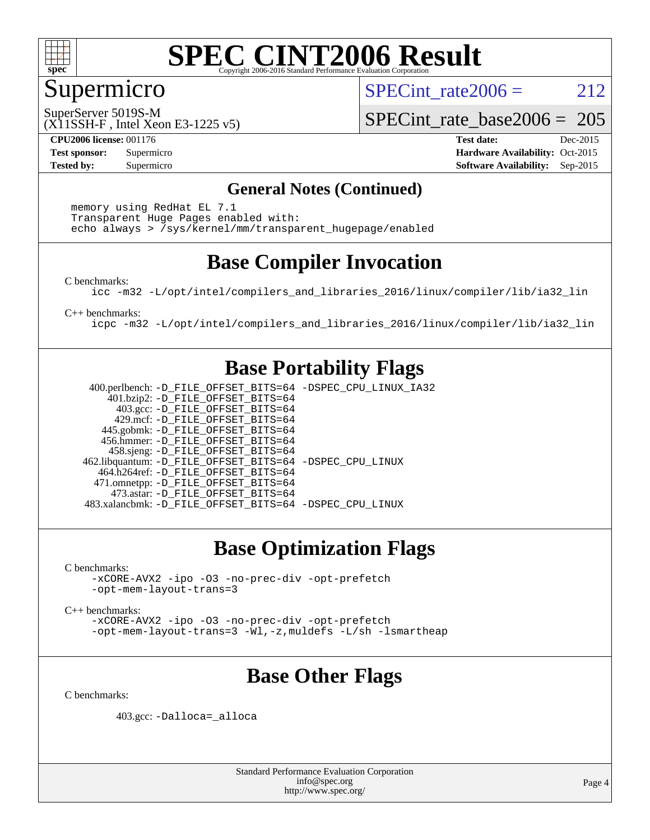

#### Supermicro

SPECint rate  $2006 = 212$ 

(X11SSH-F , Intel Xeon E3-1225 v5) SuperServer 5019S-M

[SPECint\\_rate\\_base2006 =](http://www.spec.org/auto/cpu2006/Docs/result-fields.html#SPECintratebase2006) 205

**[CPU2006 license:](http://www.spec.org/auto/cpu2006/Docs/result-fields.html#CPU2006license)** 001176 **[Test date:](http://www.spec.org/auto/cpu2006/Docs/result-fields.html#Testdate)** Dec-2015 **[Test sponsor:](http://www.spec.org/auto/cpu2006/Docs/result-fields.html#Testsponsor)** Supermicro Supermicro **[Hardware Availability:](http://www.spec.org/auto/cpu2006/Docs/result-fields.html#HardwareAvailability)** Oct-2015 **[Tested by:](http://www.spec.org/auto/cpu2006/Docs/result-fields.html#Testedby)** Supermicro **Supermicro [Software Availability:](http://www.spec.org/auto/cpu2006/Docs/result-fields.html#SoftwareAvailability)** Sep-2015

#### **[General Notes \(Continued\)](http://www.spec.org/auto/cpu2006/Docs/result-fields.html#GeneralNotes)**

 memory using RedHat EL 7.1 Transparent Huge Pages enabled with: echo always > /sys/kernel/mm/transparent\_hugepage/enabled

### **[Base Compiler Invocation](http://www.spec.org/auto/cpu2006/Docs/result-fields.html#BaseCompilerInvocation)**

[C benchmarks](http://www.spec.org/auto/cpu2006/Docs/result-fields.html#Cbenchmarks):

[icc -m32 -L/opt/intel/compilers\\_and\\_libraries\\_2016/linux/compiler/lib/ia32\\_lin](http://www.spec.org/cpu2006/results/res2016q1/cpu2006-20151225-38529.flags.html#user_CCbase_intel_icc_e10256ba5924b668798078a321b0cb3f)

[C++ benchmarks:](http://www.spec.org/auto/cpu2006/Docs/result-fields.html#CXXbenchmarks)

[icpc -m32 -L/opt/intel/compilers\\_and\\_libraries\\_2016/linux/compiler/lib/ia32\\_lin](http://www.spec.org/cpu2006/results/res2016q1/cpu2006-20151225-38529.flags.html#user_CXXbase_intel_icpc_b4f50a394bdb4597aa5879c16bc3f5c5)

#### **[Base Portability Flags](http://www.spec.org/auto/cpu2006/Docs/result-fields.html#BasePortabilityFlags)**

 400.perlbench: [-D\\_FILE\\_OFFSET\\_BITS=64](http://www.spec.org/cpu2006/results/res2016q1/cpu2006-20151225-38529.flags.html#user_basePORTABILITY400_perlbench_file_offset_bits_64_438cf9856305ebd76870a2c6dc2689ab) [-DSPEC\\_CPU\\_LINUX\\_IA32](http://www.spec.org/cpu2006/results/res2016q1/cpu2006-20151225-38529.flags.html#b400.perlbench_baseCPORTABILITY_DSPEC_CPU_LINUX_IA32) 401.bzip2: [-D\\_FILE\\_OFFSET\\_BITS=64](http://www.spec.org/cpu2006/results/res2016q1/cpu2006-20151225-38529.flags.html#user_basePORTABILITY401_bzip2_file_offset_bits_64_438cf9856305ebd76870a2c6dc2689ab) 403.gcc: [-D\\_FILE\\_OFFSET\\_BITS=64](http://www.spec.org/cpu2006/results/res2016q1/cpu2006-20151225-38529.flags.html#user_basePORTABILITY403_gcc_file_offset_bits_64_438cf9856305ebd76870a2c6dc2689ab) 429.mcf: [-D\\_FILE\\_OFFSET\\_BITS=64](http://www.spec.org/cpu2006/results/res2016q1/cpu2006-20151225-38529.flags.html#user_basePORTABILITY429_mcf_file_offset_bits_64_438cf9856305ebd76870a2c6dc2689ab) 445.gobmk: [-D\\_FILE\\_OFFSET\\_BITS=64](http://www.spec.org/cpu2006/results/res2016q1/cpu2006-20151225-38529.flags.html#user_basePORTABILITY445_gobmk_file_offset_bits_64_438cf9856305ebd76870a2c6dc2689ab) 456.hmmer: [-D\\_FILE\\_OFFSET\\_BITS=64](http://www.spec.org/cpu2006/results/res2016q1/cpu2006-20151225-38529.flags.html#user_basePORTABILITY456_hmmer_file_offset_bits_64_438cf9856305ebd76870a2c6dc2689ab) 458.sjeng: [-D\\_FILE\\_OFFSET\\_BITS=64](http://www.spec.org/cpu2006/results/res2016q1/cpu2006-20151225-38529.flags.html#user_basePORTABILITY458_sjeng_file_offset_bits_64_438cf9856305ebd76870a2c6dc2689ab) 462.libquantum: [-D\\_FILE\\_OFFSET\\_BITS=64](http://www.spec.org/cpu2006/results/res2016q1/cpu2006-20151225-38529.flags.html#user_basePORTABILITY462_libquantum_file_offset_bits_64_438cf9856305ebd76870a2c6dc2689ab) [-DSPEC\\_CPU\\_LINUX](http://www.spec.org/cpu2006/results/res2016q1/cpu2006-20151225-38529.flags.html#b462.libquantum_baseCPORTABILITY_DSPEC_CPU_LINUX) 464.h264ref: [-D\\_FILE\\_OFFSET\\_BITS=64](http://www.spec.org/cpu2006/results/res2016q1/cpu2006-20151225-38529.flags.html#user_basePORTABILITY464_h264ref_file_offset_bits_64_438cf9856305ebd76870a2c6dc2689ab) 471.omnetpp: [-D\\_FILE\\_OFFSET\\_BITS=64](http://www.spec.org/cpu2006/results/res2016q1/cpu2006-20151225-38529.flags.html#user_basePORTABILITY471_omnetpp_file_offset_bits_64_438cf9856305ebd76870a2c6dc2689ab) 473.astar: [-D\\_FILE\\_OFFSET\\_BITS=64](http://www.spec.org/cpu2006/results/res2016q1/cpu2006-20151225-38529.flags.html#user_basePORTABILITY473_astar_file_offset_bits_64_438cf9856305ebd76870a2c6dc2689ab) 483.xalancbmk: [-D\\_FILE\\_OFFSET\\_BITS=64](http://www.spec.org/cpu2006/results/res2016q1/cpu2006-20151225-38529.flags.html#user_basePORTABILITY483_xalancbmk_file_offset_bits_64_438cf9856305ebd76870a2c6dc2689ab) [-DSPEC\\_CPU\\_LINUX](http://www.spec.org/cpu2006/results/res2016q1/cpu2006-20151225-38529.flags.html#b483.xalancbmk_baseCXXPORTABILITY_DSPEC_CPU_LINUX)

### **[Base Optimization Flags](http://www.spec.org/auto/cpu2006/Docs/result-fields.html#BaseOptimizationFlags)**

[C benchmarks](http://www.spec.org/auto/cpu2006/Docs/result-fields.html#Cbenchmarks):

[-xCORE-AVX2](http://www.spec.org/cpu2006/results/res2016q1/cpu2006-20151225-38529.flags.html#user_CCbase_f-xAVX2_5f5fc0cbe2c9f62c816d3e45806c70d7) [-ipo](http://www.spec.org/cpu2006/results/res2016q1/cpu2006-20151225-38529.flags.html#user_CCbase_f-ipo) [-O3](http://www.spec.org/cpu2006/results/res2016q1/cpu2006-20151225-38529.flags.html#user_CCbase_f-O3) [-no-prec-div](http://www.spec.org/cpu2006/results/res2016q1/cpu2006-20151225-38529.flags.html#user_CCbase_f-no-prec-div) [-opt-prefetch](http://www.spec.org/cpu2006/results/res2016q1/cpu2006-20151225-38529.flags.html#user_CCbase_f-opt-prefetch) [-opt-mem-layout-trans=3](http://www.spec.org/cpu2006/results/res2016q1/cpu2006-20151225-38529.flags.html#user_CCbase_f-opt-mem-layout-trans_a7b82ad4bd7abf52556d4961a2ae94d5)

[C++ benchmarks:](http://www.spec.org/auto/cpu2006/Docs/result-fields.html#CXXbenchmarks)

[-xCORE-AVX2](http://www.spec.org/cpu2006/results/res2016q1/cpu2006-20151225-38529.flags.html#user_CXXbase_f-xAVX2_5f5fc0cbe2c9f62c816d3e45806c70d7) [-ipo](http://www.spec.org/cpu2006/results/res2016q1/cpu2006-20151225-38529.flags.html#user_CXXbase_f-ipo) [-O3](http://www.spec.org/cpu2006/results/res2016q1/cpu2006-20151225-38529.flags.html#user_CXXbase_f-O3) [-no-prec-div](http://www.spec.org/cpu2006/results/res2016q1/cpu2006-20151225-38529.flags.html#user_CXXbase_f-no-prec-div) [-opt-prefetch](http://www.spec.org/cpu2006/results/res2016q1/cpu2006-20151225-38529.flags.html#user_CXXbase_f-opt-prefetch) [-opt-mem-layout-trans=3](http://www.spec.org/cpu2006/results/res2016q1/cpu2006-20151225-38529.flags.html#user_CXXbase_f-opt-mem-layout-trans_a7b82ad4bd7abf52556d4961a2ae94d5) [-Wl,-z,muldefs](http://www.spec.org/cpu2006/results/res2016q1/cpu2006-20151225-38529.flags.html#user_CXXbase_link_force_multiple1_74079c344b956b9658436fd1b6dd3a8a) [-L/sh -lsmartheap](http://www.spec.org/cpu2006/results/res2016q1/cpu2006-20151225-38529.flags.html#user_CXXbase_SmartHeap_32f6c82aa1ed9c52345d30cf6e4a0499)

### **[Base Other Flags](http://www.spec.org/auto/cpu2006/Docs/result-fields.html#BaseOtherFlags)**

[C benchmarks](http://www.spec.org/auto/cpu2006/Docs/result-fields.html#Cbenchmarks):

403.gcc: [-Dalloca=\\_alloca](http://www.spec.org/cpu2006/results/res2016q1/cpu2006-20151225-38529.flags.html#b403.gcc_baseEXTRA_CFLAGS_Dalloca_be3056838c12de2578596ca5467af7f3)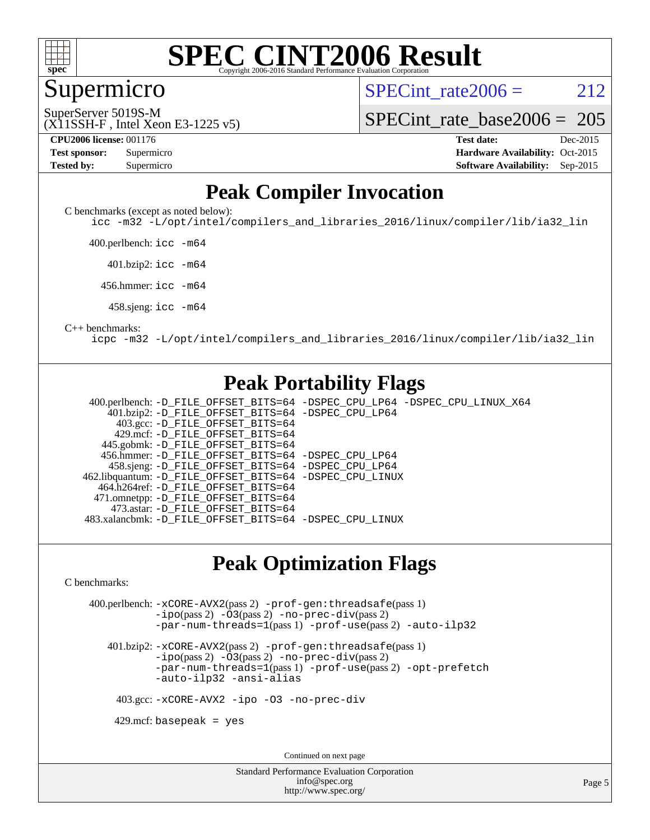

Supermicro

SPECint rate  $2006 = 212$ 

(X11SSH-F , Intel Xeon E3-1225 v5) SuperServer 5019S-M

[SPECint\\_rate\\_base2006 =](http://www.spec.org/auto/cpu2006/Docs/result-fields.html#SPECintratebase2006) 205

**[CPU2006 license:](http://www.spec.org/auto/cpu2006/Docs/result-fields.html#CPU2006license)** 001176 **[Test date:](http://www.spec.org/auto/cpu2006/Docs/result-fields.html#Testdate)** Dec-2015

| <b>Test sponsor:</b> | Supermicro |
|----------------------|------------|
| Tested by:           | Supermicro |

**[Hardware Availability:](http://www.spec.org/auto/cpu2006/Docs/result-fields.html#HardwareAvailability)** Oct-2015 **[Software Availability:](http://www.spec.org/auto/cpu2006/Docs/result-fields.html#SoftwareAvailability)** Sep-2015

#### **[Peak Compiler Invocation](http://www.spec.org/auto/cpu2006/Docs/result-fields.html#PeakCompilerInvocation)**

[C benchmarks \(except as noted below\)](http://www.spec.org/auto/cpu2006/Docs/result-fields.html#Cbenchmarksexceptasnotedbelow):

[icc -m32 -L/opt/intel/compilers\\_and\\_libraries\\_2016/linux/compiler/lib/ia32\\_lin](http://www.spec.org/cpu2006/results/res2016q1/cpu2006-20151225-38529.flags.html#user_CCpeak_intel_icc_e10256ba5924b668798078a321b0cb3f)

400.perlbench: [icc -m64](http://www.spec.org/cpu2006/results/res2016q1/cpu2006-20151225-38529.flags.html#user_peakCCLD400_perlbench_intel_icc_64bit_bda6cc9af1fdbb0edc3795bac97ada53)

401.bzip2: [icc -m64](http://www.spec.org/cpu2006/results/res2016q1/cpu2006-20151225-38529.flags.html#user_peakCCLD401_bzip2_intel_icc_64bit_bda6cc9af1fdbb0edc3795bac97ada53)

456.hmmer: [icc -m64](http://www.spec.org/cpu2006/results/res2016q1/cpu2006-20151225-38529.flags.html#user_peakCCLD456_hmmer_intel_icc_64bit_bda6cc9af1fdbb0edc3795bac97ada53)

458.sjeng: [icc -m64](http://www.spec.org/cpu2006/results/res2016q1/cpu2006-20151225-38529.flags.html#user_peakCCLD458_sjeng_intel_icc_64bit_bda6cc9af1fdbb0edc3795bac97ada53)

#### [C++ benchmarks:](http://www.spec.org/auto/cpu2006/Docs/result-fields.html#CXXbenchmarks)

[icpc -m32 -L/opt/intel/compilers\\_and\\_libraries\\_2016/linux/compiler/lib/ia32\\_lin](http://www.spec.org/cpu2006/results/res2016q1/cpu2006-20151225-38529.flags.html#user_CXXpeak_intel_icpc_b4f50a394bdb4597aa5879c16bc3f5c5)

#### **[Peak Portability Flags](http://www.spec.org/auto/cpu2006/Docs/result-fields.html#PeakPortabilityFlags)**

 400.perlbench: [-D\\_FILE\\_OFFSET\\_BITS=64](http://www.spec.org/cpu2006/results/res2016q1/cpu2006-20151225-38529.flags.html#user_peakPORTABILITY400_perlbench_file_offset_bits_64_438cf9856305ebd76870a2c6dc2689ab) [-DSPEC\\_CPU\\_LP64](http://www.spec.org/cpu2006/results/res2016q1/cpu2006-20151225-38529.flags.html#b400.perlbench_peakCPORTABILITY_DSPEC_CPU_LP64) [-DSPEC\\_CPU\\_LINUX\\_X64](http://www.spec.org/cpu2006/results/res2016q1/cpu2006-20151225-38529.flags.html#b400.perlbench_peakCPORTABILITY_DSPEC_CPU_LINUX_X64) 401.bzip2: [-D\\_FILE\\_OFFSET\\_BITS=64](http://www.spec.org/cpu2006/results/res2016q1/cpu2006-20151225-38529.flags.html#user_peakPORTABILITY401_bzip2_file_offset_bits_64_438cf9856305ebd76870a2c6dc2689ab) [-DSPEC\\_CPU\\_LP64](http://www.spec.org/cpu2006/results/res2016q1/cpu2006-20151225-38529.flags.html#suite_peakCPORTABILITY401_bzip2_DSPEC_CPU_LP64) 403.gcc: [-D\\_FILE\\_OFFSET\\_BITS=64](http://www.spec.org/cpu2006/results/res2016q1/cpu2006-20151225-38529.flags.html#user_peakPORTABILITY403_gcc_file_offset_bits_64_438cf9856305ebd76870a2c6dc2689ab) 429.mcf: [-D\\_FILE\\_OFFSET\\_BITS=64](http://www.spec.org/cpu2006/results/res2016q1/cpu2006-20151225-38529.flags.html#user_peakPORTABILITY429_mcf_file_offset_bits_64_438cf9856305ebd76870a2c6dc2689ab) 445.gobmk: [-D\\_FILE\\_OFFSET\\_BITS=64](http://www.spec.org/cpu2006/results/res2016q1/cpu2006-20151225-38529.flags.html#user_peakPORTABILITY445_gobmk_file_offset_bits_64_438cf9856305ebd76870a2c6dc2689ab) 456.hmmer: [-D\\_FILE\\_OFFSET\\_BITS=64](http://www.spec.org/cpu2006/results/res2016q1/cpu2006-20151225-38529.flags.html#user_peakPORTABILITY456_hmmer_file_offset_bits_64_438cf9856305ebd76870a2c6dc2689ab) [-DSPEC\\_CPU\\_LP64](http://www.spec.org/cpu2006/results/res2016q1/cpu2006-20151225-38529.flags.html#suite_peakCPORTABILITY456_hmmer_DSPEC_CPU_LP64) 458.sjeng: [-D\\_FILE\\_OFFSET\\_BITS=64](http://www.spec.org/cpu2006/results/res2016q1/cpu2006-20151225-38529.flags.html#user_peakPORTABILITY458_sjeng_file_offset_bits_64_438cf9856305ebd76870a2c6dc2689ab) [-DSPEC\\_CPU\\_LP64](http://www.spec.org/cpu2006/results/res2016q1/cpu2006-20151225-38529.flags.html#suite_peakCPORTABILITY458_sjeng_DSPEC_CPU_LP64) 462.libquantum: [-D\\_FILE\\_OFFSET\\_BITS=64](http://www.spec.org/cpu2006/results/res2016q1/cpu2006-20151225-38529.flags.html#user_peakPORTABILITY462_libquantum_file_offset_bits_64_438cf9856305ebd76870a2c6dc2689ab) [-DSPEC\\_CPU\\_LINUX](http://www.spec.org/cpu2006/results/res2016q1/cpu2006-20151225-38529.flags.html#b462.libquantum_peakCPORTABILITY_DSPEC_CPU_LINUX) 464.h264ref: [-D\\_FILE\\_OFFSET\\_BITS=64](http://www.spec.org/cpu2006/results/res2016q1/cpu2006-20151225-38529.flags.html#user_peakPORTABILITY464_h264ref_file_offset_bits_64_438cf9856305ebd76870a2c6dc2689ab) 471.omnetpp: [-D\\_FILE\\_OFFSET\\_BITS=64](http://www.spec.org/cpu2006/results/res2016q1/cpu2006-20151225-38529.flags.html#user_peakPORTABILITY471_omnetpp_file_offset_bits_64_438cf9856305ebd76870a2c6dc2689ab) 473.astar: [-D\\_FILE\\_OFFSET\\_BITS=64](http://www.spec.org/cpu2006/results/res2016q1/cpu2006-20151225-38529.flags.html#user_peakPORTABILITY473_astar_file_offset_bits_64_438cf9856305ebd76870a2c6dc2689ab) 483.xalancbmk: [-D\\_FILE\\_OFFSET\\_BITS=64](http://www.spec.org/cpu2006/results/res2016q1/cpu2006-20151225-38529.flags.html#user_peakPORTABILITY483_xalancbmk_file_offset_bits_64_438cf9856305ebd76870a2c6dc2689ab) [-DSPEC\\_CPU\\_LINUX](http://www.spec.org/cpu2006/results/res2016q1/cpu2006-20151225-38529.flags.html#b483.xalancbmk_peakCXXPORTABILITY_DSPEC_CPU_LINUX)

#### **[Peak Optimization Flags](http://www.spec.org/auto/cpu2006/Docs/result-fields.html#PeakOptimizationFlags)**

[C benchmarks](http://www.spec.org/auto/cpu2006/Docs/result-fields.html#Cbenchmarks):

 400.perlbench: [-xCORE-AVX2](http://www.spec.org/cpu2006/results/res2016q1/cpu2006-20151225-38529.flags.html#user_peakPASS2_CFLAGSPASS2_LDCFLAGS400_perlbench_f-xAVX2_5f5fc0cbe2c9f62c816d3e45806c70d7)(pass 2) [-prof-gen:threadsafe](http://www.spec.org/cpu2006/results/res2016q1/cpu2006-20151225-38529.flags.html#user_peakPASS1_CFLAGSPASS1_LDCFLAGS400_perlbench_prof_gen_21a26eb79f378b550acd7bec9fe4467a)(pass 1) [-ipo](http://www.spec.org/cpu2006/results/res2016q1/cpu2006-20151225-38529.flags.html#user_peakPASS2_CFLAGSPASS2_LDCFLAGS400_perlbench_f-ipo)(pass 2) [-O3](http://www.spec.org/cpu2006/results/res2016q1/cpu2006-20151225-38529.flags.html#user_peakPASS2_CFLAGSPASS2_LDCFLAGS400_perlbench_f-O3)(pass 2) [-no-prec-div](http://www.spec.org/cpu2006/results/res2016q1/cpu2006-20151225-38529.flags.html#user_peakPASS2_CFLAGSPASS2_LDCFLAGS400_perlbench_f-no-prec-div)(pass 2) [-par-num-threads=1](http://www.spec.org/cpu2006/results/res2016q1/cpu2006-20151225-38529.flags.html#user_peakPASS1_CFLAGSPASS1_LDCFLAGS400_perlbench_par_num_threads_786a6ff141b4e9e90432e998842df6c2)(pass 1) [-prof-use](http://www.spec.org/cpu2006/results/res2016q1/cpu2006-20151225-38529.flags.html#user_peakPASS2_CFLAGSPASS2_LDCFLAGS400_perlbench_prof_use_bccf7792157ff70d64e32fe3e1250b55)(pass 2) [-auto-ilp32](http://www.spec.org/cpu2006/results/res2016q1/cpu2006-20151225-38529.flags.html#user_peakCOPTIMIZE400_perlbench_f-auto-ilp32)

 401.bzip2: [-xCORE-AVX2](http://www.spec.org/cpu2006/results/res2016q1/cpu2006-20151225-38529.flags.html#user_peakPASS2_CFLAGSPASS2_LDCFLAGS401_bzip2_f-xAVX2_5f5fc0cbe2c9f62c816d3e45806c70d7)(pass 2) [-prof-gen:threadsafe](http://www.spec.org/cpu2006/results/res2016q1/cpu2006-20151225-38529.flags.html#user_peakPASS1_CFLAGSPASS1_LDCFLAGS401_bzip2_prof_gen_21a26eb79f378b550acd7bec9fe4467a)(pass 1)  $-i\text{po}(pass 2)$  [-O3](http://www.spec.org/cpu2006/results/res2016q1/cpu2006-20151225-38529.flags.html#user_peakPASS2_CFLAGSPASS2_LDCFLAGS401_bzip2_f-O3) $(pass 2)$  [-no-prec-div](http://www.spec.org/cpu2006/results/res2016q1/cpu2006-20151225-38529.flags.html#user_peakPASS2_CFLAGSPASS2_LDCFLAGS401_bzip2_f-no-prec-div) $(pass 2)$ [-par-num-threads=1](http://www.spec.org/cpu2006/results/res2016q1/cpu2006-20151225-38529.flags.html#user_peakPASS1_CFLAGSPASS1_LDCFLAGS401_bzip2_par_num_threads_786a6ff141b4e9e90432e998842df6c2)(pass 1) [-prof-use](http://www.spec.org/cpu2006/results/res2016q1/cpu2006-20151225-38529.flags.html#user_peakPASS2_CFLAGSPASS2_LDCFLAGS401_bzip2_prof_use_bccf7792157ff70d64e32fe3e1250b55)(pass 2) [-opt-prefetch](http://www.spec.org/cpu2006/results/res2016q1/cpu2006-20151225-38529.flags.html#user_peakCOPTIMIZE401_bzip2_f-opt-prefetch) [-auto-ilp32](http://www.spec.org/cpu2006/results/res2016q1/cpu2006-20151225-38529.flags.html#user_peakCOPTIMIZE401_bzip2_f-auto-ilp32) [-ansi-alias](http://www.spec.org/cpu2006/results/res2016q1/cpu2006-20151225-38529.flags.html#user_peakCOPTIMIZE401_bzip2_f-ansi-alias)

403.gcc: [-xCORE-AVX2](http://www.spec.org/cpu2006/results/res2016q1/cpu2006-20151225-38529.flags.html#user_peakCOPTIMIZE403_gcc_f-xAVX2_5f5fc0cbe2c9f62c816d3e45806c70d7) [-ipo](http://www.spec.org/cpu2006/results/res2016q1/cpu2006-20151225-38529.flags.html#user_peakCOPTIMIZE403_gcc_f-ipo) [-O3](http://www.spec.org/cpu2006/results/res2016q1/cpu2006-20151225-38529.flags.html#user_peakCOPTIMIZE403_gcc_f-O3) [-no-prec-div](http://www.spec.org/cpu2006/results/res2016q1/cpu2006-20151225-38529.flags.html#user_peakCOPTIMIZE403_gcc_f-no-prec-div)

 $429$ .mcf: basepeak = yes

Continued on next page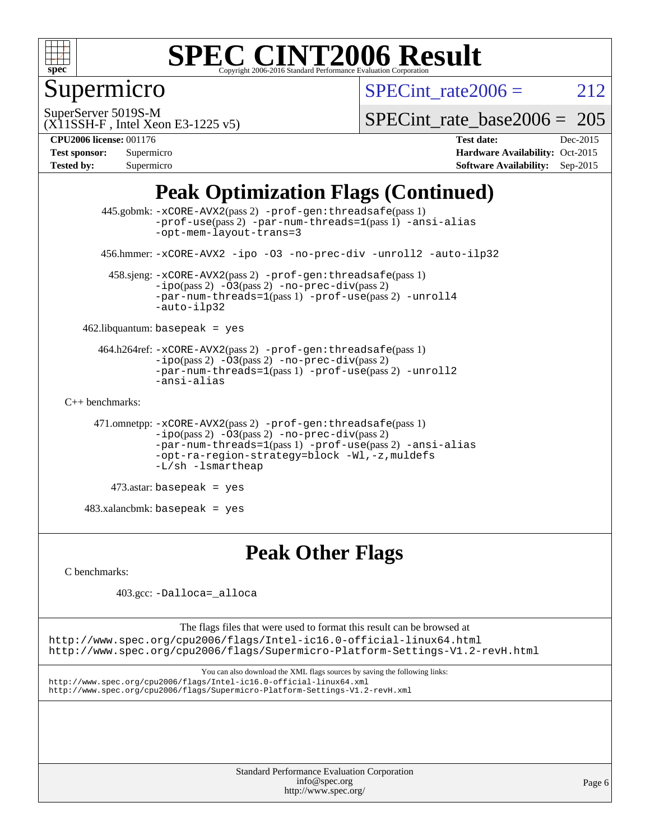

### Supermicro

SPECint rate  $2006 = 212$ 

SuperServer 5019S-M

[SPECint\\_rate\\_base2006 =](http://www.spec.org/auto/cpu2006/Docs/result-fields.html#SPECintratebase2006) 205

(X11SSH-F , Intel Xeon E3-1225 v5) **[CPU2006 license:](http://www.spec.org/auto/cpu2006/Docs/result-fields.html#CPU2006license)** 001176 **[Test date:](http://www.spec.org/auto/cpu2006/Docs/result-fields.html#Testdate)** Dec-2015

| <b>Test sponsor:</b> | Supermicro |
|----------------------|------------|
| <b>Tested by:</b>    | Supermicro |

**[Hardware Availability:](http://www.spec.org/auto/cpu2006/Docs/result-fields.html#HardwareAvailability)** Oct-2015 **[Software Availability:](http://www.spec.org/auto/cpu2006/Docs/result-fields.html#SoftwareAvailability)** Sep-2015

### **[Peak Optimization Flags \(Continued\)](http://www.spec.org/auto/cpu2006/Docs/result-fields.html#PeakOptimizationFlags)**

```
 445.gobmk: -xCORE-AVX2(pass 2) -prof-gen:threadsafe(pass 1)
                -prof-use(pass 2) -par-num-threads=1(pass 1) -ansi-alias
                -opt-mem-layout-trans=3
       456.hmmer: -xCORE-AVX2 -ipo -O3 -no-prec-div -unroll2 -auto-ilp32
        458.sjeng: -xCORE-AVX2(pass 2) -prof-gen:threadsafe(pass 1)
                -i\text{po}(pass 2) -\overline{O}3(pass 2)-no-prec-div(pass 2)
                -par-num-threads=1-prof-use-unroll4
                -auto-ilp32
    462.libquantum: basepeak = yes
      464.h264ref: -xCORE-AVX2(pass 2) -prof-gen:threadsafe(pass 1)
                -ipo(pass 2) -O3(pass 2) -no-prec-div(pass 2)
               -par-num-threads=1(pass 1) -prof-use(pass 2) -unroll2
                -ansi-alias
C++ benchmarks: 
      471.omnetpp: -xCORE-AVX2(pass 2) -prof-gen:threadsafe(pass 1)
               -no-prec-div(pass 2)-par-num-threads=1(pass 1) -prof-use(pass 2) -ansi-alias
                -opt-ra-region-strategy=block -Wl,-z,muldefs
                -L/sh -lsmartheap
         473.astar: basepeak = yes
    483.xalancbmk: basepeak = yes
```
### **[Peak Other Flags](http://www.spec.org/auto/cpu2006/Docs/result-fields.html#PeakOtherFlags)**

[C benchmarks](http://www.spec.org/auto/cpu2006/Docs/result-fields.html#Cbenchmarks):

403.gcc: [-Dalloca=\\_alloca](http://www.spec.org/cpu2006/results/res2016q1/cpu2006-20151225-38529.flags.html#b403.gcc_peakEXTRA_CFLAGS_Dalloca_be3056838c12de2578596ca5467af7f3)

The flags files that were used to format this result can be browsed at <http://www.spec.org/cpu2006/flags/Intel-ic16.0-official-linux64.html> <http://www.spec.org/cpu2006/flags/Supermicro-Platform-Settings-V1.2-revH.html>

You can also download the XML flags sources by saving the following links: <http://www.spec.org/cpu2006/flags/Intel-ic16.0-official-linux64.xml> <http://www.spec.org/cpu2006/flags/Supermicro-Platform-Settings-V1.2-revH.xml>